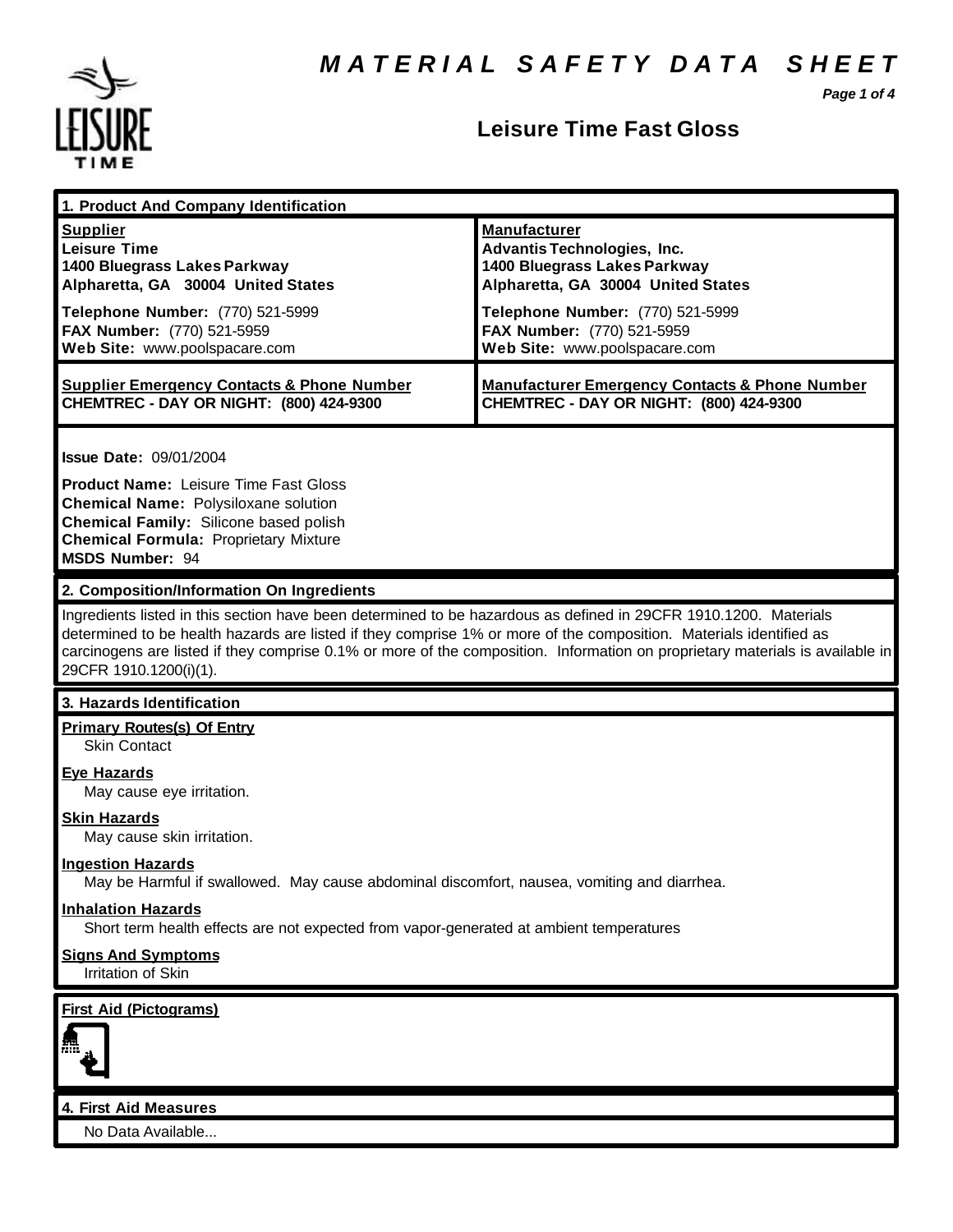*Page 1 of 4*



### **Leisure Time Fast Gloss**

| 1. Product And Company Identification                                                                                                                                                                                                                                                                                                                                                                                                          |                                                                                                                                                                                                                                    |
|------------------------------------------------------------------------------------------------------------------------------------------------------------------------------------------------------------------------------------------------------------------------------------------------------------------------------------------------------------------------------------------------------------------------------------------------|------------------------------------------------------------------------------------------------------------------------------------------------------------------------------------------------------------------------------------|
| <b>Supplier</b><br><b>Leisure Time</b><br>1400 Bluegrass Lakes Parkway<br>Alpharetta, GA 30004 United States<br>Telephone Number: (770) 521-5999<br>FAX Number: (770) 521-5959<br>Web Site: www.poolspacare.com                                                                                                                                                                                                                                | <b>Manufacturer</b><br><b>Advantis Technologies, Inc.</b><br>1400 Bluegrass Lakes Parkway<br>Alpharetta, GA 30004 United States<br>Telephone Number: (770) 521-5999<br>FAX Number: (770) 521-5959<br>Web Site: www.poolspacare.com |
| <b>Supplier Emergency Contacts &amp; Phone Number</b><br>CHEMTREC - DAY OR NIGHT: (800) 424-9300                                                                                                                                                                                                                                                                                                                                               | <b>Manufacturer Emergency Contacts &amp; Phone Number</b><br>CHEMTREC - DAY OR NIGHT: (800) 424-9300                                                                                                                               |
| <b>Issue Date: 09/01/2004</b><br><b>Product Name: Leisure Time Fast Gloss</b><br><b>Chemical Name: Polysiloxane solution</b><br>Chemical Family: Silicone based polish<br><b>Chemical Formula: Proprietary Mixture</b><br><b>MSDS Number: 94</b>                                                                                                                                                                                               |                                                                                                                                                                                                                                    |
| 2. Composition/Information On Ingredients<br>Ingredients listed in this section have been determined to be hazardous as defined in 29CFR 1910.1200. Materials<br>determined to be health hazards are listed if they comprise 1% or more of the composition. Materials identified as<br>carcinogens are listed if they comprise 0.1% or more of the composition. Information on proprietary materials is available in<br>29CFR 1910.1200(i)(1). |                                                                                                                                                                                                                                    |
| 3. Hazards Identification                                                                                                                                                                                                                                                                                                                                                                                                                      |                                                                                                                                                                                                                                    |
| <b>Primary Routes(s) Of Entry</b><br><b>Skin Contact</b>                                                                                                                                                                                                                                                                                                                                                                                       |                                                                                                                                                                                                                                    |
| <b>Eye Hazards</b><br>May cause eye irritation.                                                                                                                                                                                                                                                                                                                                                                                                |                                                                                                                                                                                                                                    |
| <b>Skin Hazards</b><br>May cause skin irritation.                                                                                                                                                                                                                                                                                                                                                                                              |                                                                                                                                                                                                                                    |
| <b>Ingestion Hazards</b><br>May be Harmful if swallowed. May cause abdominal discomfort, nausea, vomiting and diarrhea.                                                                                                                                                                                                                                                                                                                        |                                                                                                                                                                                                                                    |
| <b>Inhalation Hazards</b><br>Short term health effects are not expected from vapor-generated at ambient temperatures                                                                                                                                                                                                                                                                                                                           |                                                                                                                                                                                                                                    |
| <b>Signs And Symptoms</b><br>Irritation of Skin                                                                                                                                                                                                                                                                                                                                                                                                |                                                                                                                                                                                                                                    |
| <b>First Aid (Pictograms)</b>                                                                                                                                                                                                                                                                                                                                                                                                                  |                                                                                                                                                                                                                                    |
| 4. First Aid Measures<br>No Data Available                                                                                                                                                                                                                                                                                                                                                                                                     |                                                                                                                                                                                                                                    |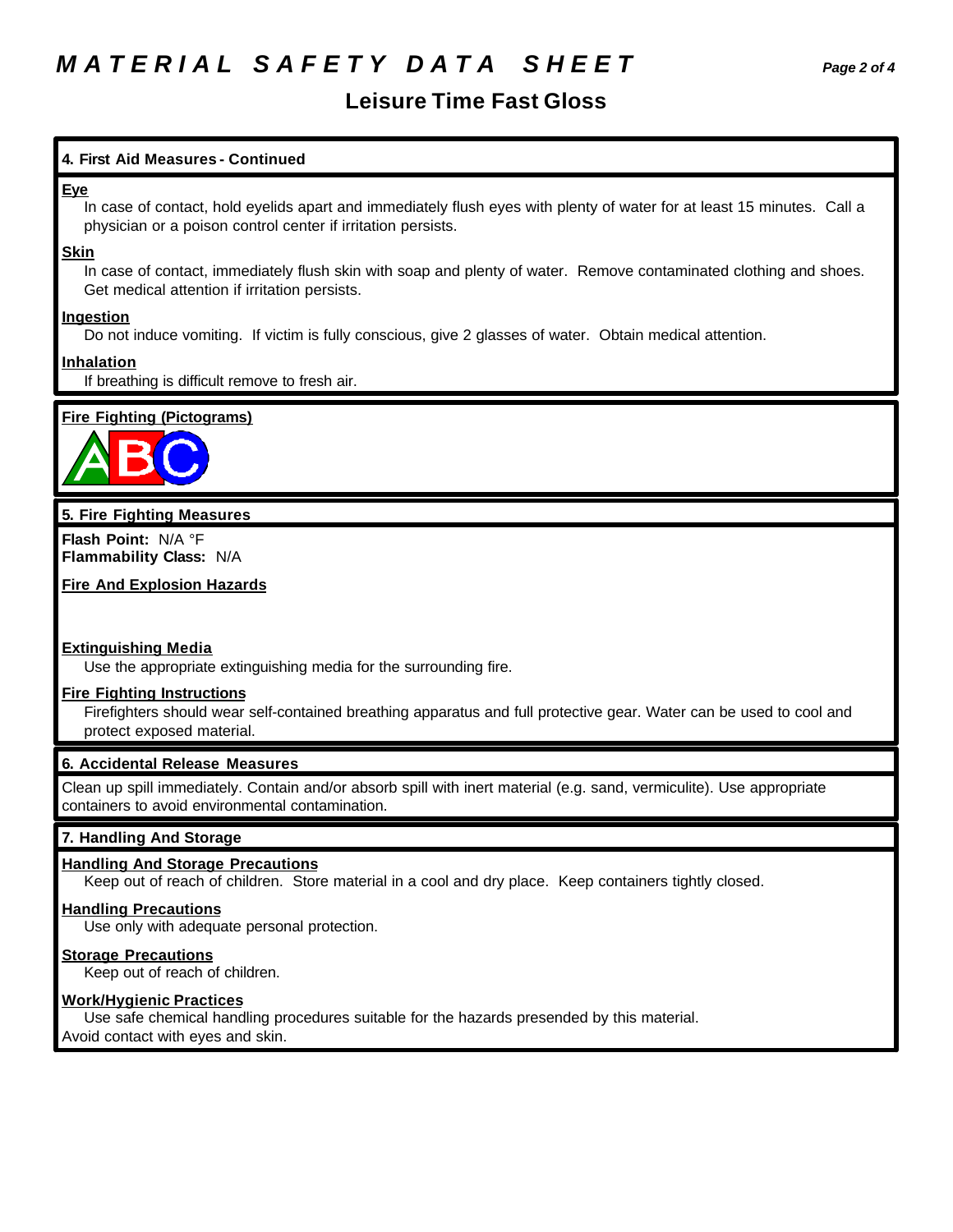## *M A T E R I A L S A F E T Y D A T A S H E E T Page 2 of 4*

### **Leisure Time Fast Gloss**

#### **4. First Aid Measures - Continued**

#### **Eye**

In case of contact, hold eyelids apart and immediately flush eyes with plenty of water for at least 15 minutes. Call a physician or a poison control center if irritation persists.

#### **Skin**

In case of contact, immediately flush skin with soap and plenty of water. Remove contaminated clothing and shoes. Get medical attention if irritation persists.

#### **Ingestion**

Do not induce vomiting. If victim is fully conscious, give 2 glasses of water. Obtain medical attention.

#### **Inhalation**

If breathing is difficult remove to fresh air.

#### **Fire Fighting (Pictograms)**



#### **5. Fire Fighting Measures**

**Flash Point:** N/A °F **Flammability Class:** N/A

**Fire And Explosion Hazards**

#### **Extinguishing Media**

Use the appropriate extinguishing media for the surrounding fire.

#### **Fire Fighting Instructions**

Firefighters should wear self-contained breathing apparatus and full protective gear. Water can be used to cool and protect exposed material.

#### **6. Accidental Release Measures**

Clean up spill immediately. Contain and/or absorb spill with inert material (e.g. sand, vermiculite). Use appropriate containers to avoid environmental contamination.

#### **7. Handling And Storage**

#### **Handling And Storage Precautions**

Keep out of reach of children. Store material in a cool and dry place. Keep containers tightly closed.

#### **Handling Precautions**

Use only with adequate personal protection.

#### **Storage Precautions**

Keep out of reach of children.

#### **Work/Hygienic Practices**

Use safe chemical handling procedures suitable for the hazards presended by this material. Avoid contact with eyes and skin.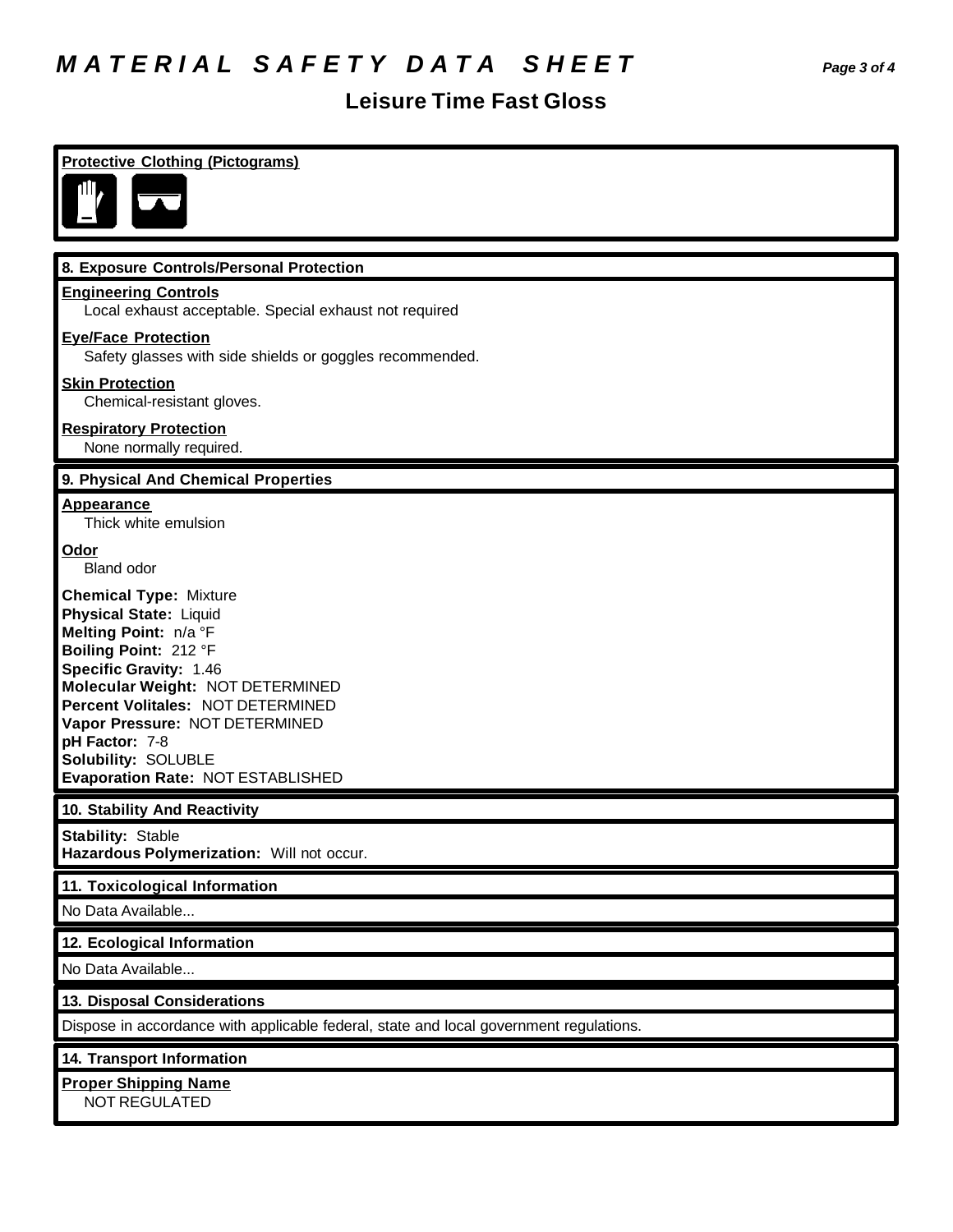# *M A T E R I A L S A F E T Y D A T A S H E E T Page 3 of 4*

## **Leisure Time Fast Gloss**

| <b>Protective Clothing (Pictograms)</b>                                                                                                                                                                                                                                                                                                           |
|---------------------------------------------------------------------------------------------------------------------------------------------------------------------------------------------------------------------------------------------------------------------------------------------------------------------------------------------------|
| 8. Exposure Controls/Personal Protection                                                                                                                                                                                                                                                                                                          |
| <b>Engineering Controls</b><br>Local exhaust acceptable. Special exhaust not required                                                                                                                                                                                                                                                             |
| <b>Eye/Face Protection</b><br>Safety glasses with side shields or goggles recommended.                                                                                                                                                                                                                                                            |
| <b>Skin Protection</b><br>Chemical-resistant gloves.                                                                                                                                                                                                                                                                                              |
| <b>Respiratory Protection</b><br>None normally required.                                                                                                                                                                                                                                                                                          |
| 9. Physical And Chemical Properties                                                                                                                                                                                                                                                                                                               |
| <b>Appearance</b><br>Thick white emulsion                                                                                                                                                                                                                                                                                                         |
| Odor<br><b>Bland odor</b>                                                                                                                                                                                                                                                                                                                         |
| <b>Chemical Type: Mixture</b><br><b>Physical State: Liquid</b><br>Melting Point: n/a °F<br>Boiling Point: 212 °F<br><b>Specific Gravity: 1.46</b><br>Molecular Weight: NOT DETERMINED<br>Percent Volitales: NOT DETERMINED<br>Vapor Pressure: NOT DETERMINED<br>pH Factor: 7-8<br><b>Solubility: SOLUBLE</b><br>Evaporation Rate: NOT ESTABLISHED |
| 10. Stability And Reactivity                                                                                                                                                                                                                                                                                                                      |
| <b>Stability: Stable</b><br>Hazardous Polymerization: Will not occur.                                                                                                                                                                                                                                                                             |
| 11. Toxicological Information<br>No Data Available                                                                                                                                                                                                                                                                                                |
| 12. Ecological Information                                                                                                                                                                                                                                                                                                                        |
| No Data Available                                                                                                                                                                                                                                                                                                                                 |
| 13. Disposal Considerations                                                                                                                                                                                                                                                                                                                       |
| Dispose in accordance with applicable federal, state and local government regulations.                                                                                                                                                                                                                                                            |
| 14. Transport Information                                                                                                                                                                                                                                                                                                                         |
| <b>Proper Shipping Name</b><br><b>NOT REGULATED</b>                                                                                                                                                                                                                                                                                               |